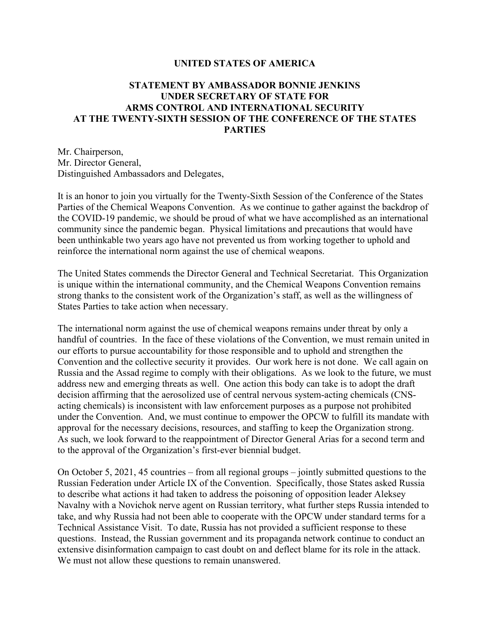## **UNITED STATES OF AMERICA**

## **STATEMENT BY AMBASSADOR BONNIE JENKINS UNDER SECRETARY OF STATE FOR ARMS CONTROL AND INTERNATIONAL SECURITY AT THE TWENTY-SIXTH SESSION OF THE CONFERENCE OF THE STATES PARTIES**

Mr. Chairperson, Mr. Director General, Distinguished Ambassadors and Delegates,

It is an honor to join you virtually for the Twenty-Sixth Session of the Conference of the States Parties of the Chemical Weapons Convention. As we continue to gather against the backdrop of the COVID-19 pandemic, we should be proud of what we have accomplished as an international community since the pandemic began. Physical limitations and precautions that would have been unthinkable two years ago have not prevented us from working together to uphold and reinforce the international norm against the use of chemical weapons.

The United States commends the Director General and Technical Secretariat. This Organization is unique within the international community, and the Chemical Weapons Convention remains strong thanks to the consistent work of the Organization's staff, as well as the willingness of States Parties to take action when necessary.

The international norm against the use of chemical weapons remains under threat by only a handful of countries. In the face of these violations of the Convention, we must remain united in our efforts to pursue accountability for those responsible and to uphold and strengthen the Convention and the collective security it provides. Our work here is not done. We call again on Russia and the Assad regime to comply with their obligations. As we look to the future, we must address new and emerging threats as well. One action this body can take is to adopt the draft decision affirming that the aerosolized use of central nervous system-acting chemicals (CNSacting chemicals) is inconsistent with law enforcement purposes as a purpose not prohibited under the Convention. And, we must continue to empower the OPCW to fulfill its mandate with approval for the necessary decisions, resources, and staffing to keep the Organization strong. As such, we look forward to the reappointment of Director General Arias for a second term and to the approval of the Organization's first-ever biennial budget.

On October 5, 2021, 45 countries – from all regional groups – jointly submitted questions to the Russian Federation under Article IX of the Convention. Specifically, those States asked Russia to describe what actions it had taken to address the poisoning of opposition leader Aleksey Navalny with a Novichok nerve agent on Russian territory, what further steps Russia intended to take, and why Russia had not been able to cooperate with the OPCW under standard terms for a Technical Assistance Visit. To date, Russia has not provided a sufficient response to these questions. Instead, the Russian government and its propaganda network continue to conduct an extensive disinformation campaign to cast doubt on and deflect blame for its role in the attack. We must not allow these questions to remain unanswered.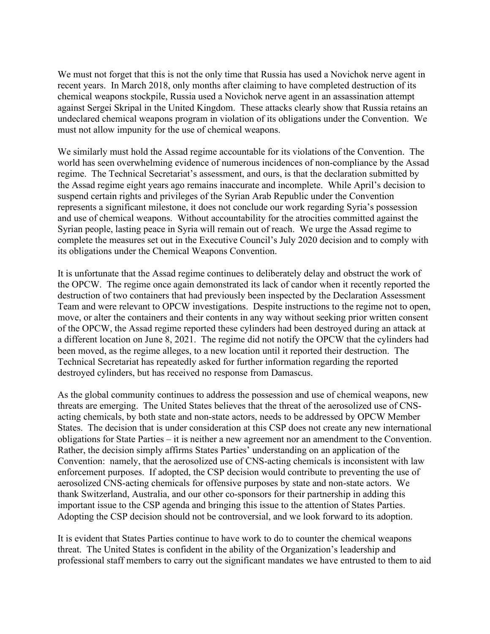We must not forget that this is not the only time that Russia has used a Novichok nerve agent in recent years. In March 2018, only months after claiming to have completed destruction of its chemical weapons stockpile, Russia used a Novichok nerve agent in an assassination attempt against Sergei Skripal in the United Kingdom. These attacks clearly show that Russia retains an undeclared chemical weapons program in violation of its obligations under the Convention. We must not allow impunity for the use of chemical weapons.

We similarly must hold the Assad regime accountable for its violations of the Convention. The world has seen overwhelming evidence of numerous incidences of non-compliance by the Assad regime. The Technical Secretariat's assessment, and ours, is that the declaration submitted by the Assad regime eight years ago remains inaccurate and incomplete. While April's decision to suspend certain rights and privileges of the Syrian Arab Republic under the Convention represents a significant milestone, it does not conclude our work regarding Syria's possession and use of chemical weapons. Without accountability for the atrocities committed against the Syrian people, lasting peace in Syria will remain out of reach. We urge the Assad regime to complete the measures set out in the Executive Council's July 2020 decision and to comply with its obligations under the Chemical Weapons Convention.

It is unfortunate that the Assad regime continues to deliberately delay and obstruct the work of the OPCW. The regime once again demonstrated its lack of candor when it recently reported the destruction of two containers that had previously been inspected by the Declaration Assessment Team and were relevant to OPCW investigations. Despite instructions to the regime not to open, move, or alter the containers and their contents in any way without seeking prior written consent of the OPCW, the Assad regime reported these cylinders had been destroyed during an attack at a different location on June 8, 2021. The regime did not notify the OPCW that the cylinders had been moved, as the regime alleges, to a new location until it reported their destruction. The Technical Secretariat has repeatedly asked for further information regarding the reported destroyed cylinders, but has received no response from Damascus.

As the global community continues to address the possession and use of chemical weapons, new threats are emerging. The United States believes that the threat of the aerosolized use of CNSacting chemicals, by both state and non-state actors, needs to be addressed by OPCW Member States. The decision that is under consideration at this CSP does not create any new international obligations for State Parties – it is neither a new agreement nor an amendment to the Convention. Rather, the decision simply affirms States Parties' understanding on an application of the Convention: namely, that the aerosolized use of CNS-acting chemicals is inconsistent with law enforcement purposes. If adopted, the CSP decision would contribute to preventing the use of aerosolized CNS-acting chemicals for offensive purposes by state and non-state actors. We thank Switzerland, Australia, and our other co-sponsors for their partnership in adding this important issue to the CSP agenda and bringing this issue to the attention of States Parties. Adopting the CSP decision should not be controversial, and we look forward to its adoption.

It is evident that States Parties continue to have work to do to counter the chemical weapons threat. The United States is confident in the ability of the Organization's leadership and professional staff members to carry out the significant mandates we have entrusted to them to aid